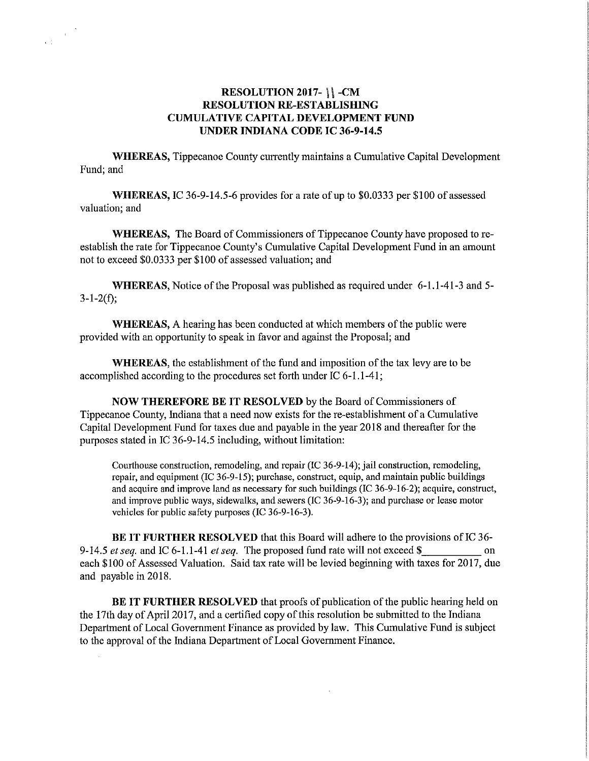## RESOLUTION 2017- | CM RESOLUTION RE-ESTABLISHING CUMULATIVE CAPITAL DEVELOPMENT FUND UNDER INDIANA CODE IC 36-9-14.5

 $\frac{1}{3}$  ,  $\frac{1}{3}$ 

 $\mathcal{C}^{(k)}$ 

WHEREAS, Tippecanoe County currently maintains a Cumulative Capital Development Fund; and

WHEREAS, IC 36-9-14.5-6 provides for a rate of up to \$0.0333 per \$100 of assessed valuation; and

WHEREAS, The Board of Commissioners of Tippecanoe County have proposed to reestablish the rate for Tippecanoe County's Cumulative Capital Development Fund in an amount not to exceed \$0.0333 per \$100 of assessed valuation; and

WHEREAS, Notice of the Proposal was published as required under 6-1.1-41-3 and 5- $3 - 1 - 2(f);$ 

WHEREAS, A hearing has been conducted at which members of the public were provided with an opportunity to speak in favor and against the Proposal; and

WHEREAS, the establishment of the fund and imposition of the tax levy are to be accomplished according to the procedures set forth under IC 6-1.1-41;

NOW THEREFORE BE IT RESOLVED by the Board of Commissioners of Tippecanoe County, Indiana that a need now exists for the re-establishment of a Cumulative Capital Development Fund for taxes due and payable in the year 2018 and thereafter for the purposes stated in IC 36-9—14.5 including, without limitation:

Courthouse construction, remodeling, and repair (IC 36—9—14); jail construction, remodeling, repair, and equipment (IC 36—9-15); purchase, construct, equip, and maintain public buildings and acquire and improve land as necessary for such buildings (IC 36—9—16—2); acquire, construct, and improve public ways, sidewalks, and sewers (IC 36—9—16—3); and purchase or lease motor vehicles for public safety purposes (IC 36-9-16-3).

BE IT FURTHER RESOLVED that this Board will adhere to the provisions of IC 36- 9-14.5 et seq. and IC 6-1.1-41 et seq. The proposed fund rate will not exceed  $\S$ each \$100 of Assessed Valuation. Said tax rate will be levied beginning with taxes for 2017, due and payable in 2018.

BE IT FURTHER RESOLVED that proofs of publication of the public hearing held on the 17th day of April 2017, and a certified copy of this resolution be submitted to the Indiana Department of Local Government Finance as provided by law. This Cumulative Fund is subject to the approval of the Indiana Department of Local Government Finance.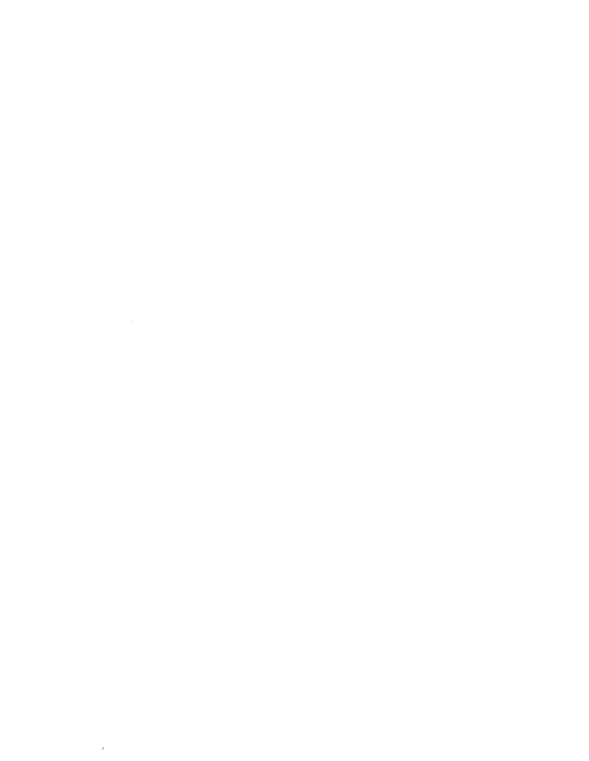$\label{eq:2.1} \frac{1}{\sqrt{2}}\left(\frac{1}{\sqrt{2}}\right)^{2} \left(\frac{1}{\sqrt{2}}\right)^{2} \left(\frac{1}{\sqrt{2}}\right)^{2} \left(\frac{1}{\sqrt{2}}\right)^{2} \left(\frac{1}{\sqrt{2}}\right)^{2} \left(\frac{1}{\sqrt{2}}\right)^{2} \left(\frac{1}{\sqrt{2}}\right)^{2} \left(\frac{1}{\sqrt{2}}\right)^{2} \left(\frac{1}{\sqrt{2}}\right)^{2} \left(\frac{1}{\sqrt{2}}\right)^{2} \left(\frac{1}{\sqrt{2}}\right)^{2} \left(\$ 

 $\epsilon^{\pm}$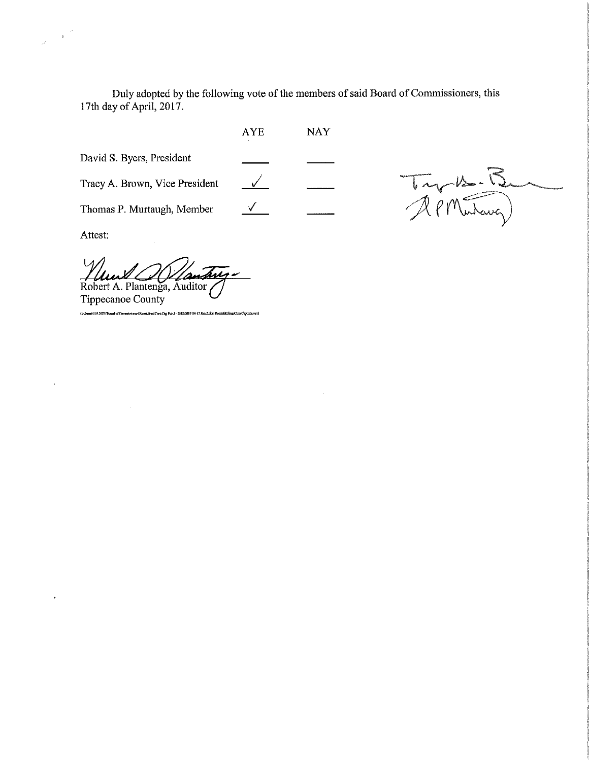Duly adopted by the following vote of the members of said Board of Commissioners, this 17th day of April, 2017.

|                                | AYE | NAY |
|--------------------------------|-----|-----|
| David S. Byers, President      |     |     |
| Tracy A. Brown, Vice President |     |     |
| Thomas P. Murtaugh, Member     |     |     |

Try 12. B.

Attest:

 $\bullet$ 

 $\label{eq:2} \frac{\partial}{\partial t} \frac{\partial}{\partial t}$ 

 $\hat{\mathcal{O}}$ 

<u>/anm</u> Robert A. Plantenga, Auditor Tippecanoe County

GAlamid COUNTY Board of Commissioners Resolutions Com Cap Ford - 2018/2017-04-17 Resolution Rescubitibiling Com Cap min wpd